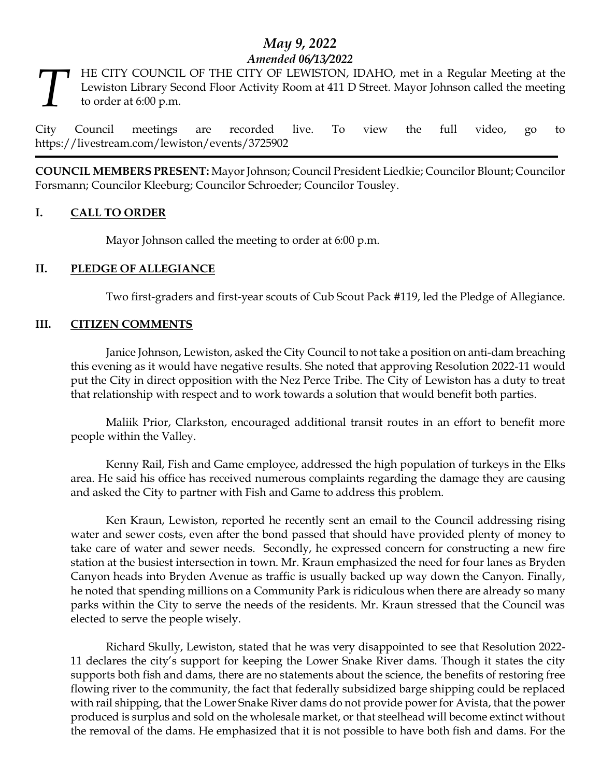# *May 9, 2022 Amended 06/13/2022*

HE CITY COUNCIL OF THE CITY OF LEWISTON, IDAHO, met in a Regular Meeting at the Lewiston Library Second Floor Activity Room at 411 D Street. Mayor Johnson called the meeting to order at 6:00 p.m. *T*

City Council meetings are recorded live. To view the full video, go to https://livestream.com/lewiston/events/3725902

**COUNCIL MEMBERS PRESENT:** Mayor Johnson; Council President Liedkie; Councilor Blount; Councilor Forsmann; Councilor Kleeburg; Councilor Schroeder; Councilor Tousley.

## **I. CALL TO ORDER**

Mayor Johnson called the meeting to order at 6:00 p.m.

## **II. PLEDGE OF ALLEGIANCE**

Two first-graders and first-year scouts of Cub Scout Pack #119, led the Pledge of Allegiance.

#### **III. CITIZEN COMMENTS**

Janice Johnson, Lewiston, asked the City Council to not take a position on anti-dam breaching this evening as it would have negative results. She noted that approving Resolution 2022-11 would put the City in direct opposition with the Nez Perce Tribe. The City of Lewiston has a duty to treat that relationship with respect and to work towards a solution that would benefit both parties.

Maliik Prior, Clarkston, encouraged additional transit routes in an effort to benefit more people within the Valley.

Kenny Rail, Fish and Game employee, addressed the high population of turkeys in the Elks area. He said his office has received numerous complaints regarding the damage they are causing and asked the City to partner with Fish and Game to address this problem.

Ken Kraun, Lewiston, reported he recently sent an email to the Council addressing rising water and sewer costs, even after the bond passed that should have provided plenty of money to take care of water and sewer needs. Secondly, he expressed concern for constructing a new fire station at the busiest intersection in town. Mr. Kraun emphasized the need for four lanes as Bryden Canyon heads into Bryden Avenue as traffic is usually backed up way down the Canyon. Finally, he noted that spending millions on a Community Park is ridiculous when there are already so many parks within the City to serve the needs of the residents. Mr. Kraun stressed that the Council was elected to serve the people wisely.

Richard Skully, Lewiston, stated that he was very disappointed to see that Resolution 2022- 11 declares the city's support for keeping the Lower Snake River dams. Though it states the city supports both fish and dams, there are no statements about the science, the benefits of restoring free flowing river to the community, the fact that federally subsidized barge shipping could be replaced with rail shipping, that the Lower Snake River dams do not provide power for Avista, that the power produced is surplus and sold on the wholesale market, or that steelhead will become extinct without the removal of the dams. He emphasized that it is not possible to have both fish and dams. For the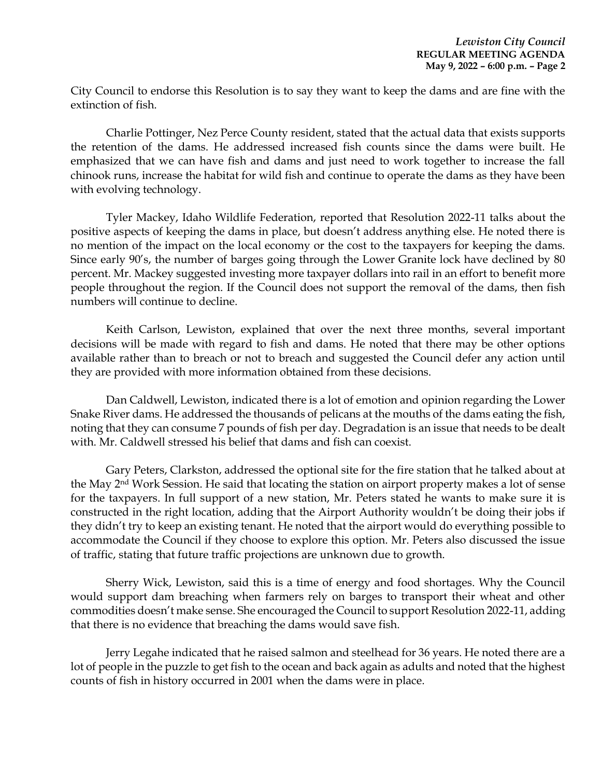City Council to endorse this Resolution is to say they want to keep the dams and are fine with the extinction of fish.

Charlie Pottinger, Nez Perce County resident, stated that the actual data that exists supports the retention of the dams. He addressed increased fish counts since the dams were built. He emphasized that we can have fish and dams and just need to work together to increase the fall chinook runs, increase the habitat for wild fish and continue to operate the dams as they have been with evolving technology.

Tyler Mackey, Idaho Wildlife Federation, reported that Resolution 2022-11 talks about the positive aspects of keeping the dams in place, but doesn't address anything else. He noted there is no mention of the impact on the local economy or the cost to the taxpayers for keeping the dams. Since early 90's, the number of barges going through the Lower Granite lock have declined by 80 percent. Mr. Mackey suggested investing more taxpayer dollars into rail in an effort to benefit more people throughout the region. If the Council does not support the removal of the dams, then fish numbers will continue to decline.

Keith Carlson, Lewiston, explained that over the next three months, several important decisions will be made with regard to fish and dams. He noted that there may be other options available rather than to breach or not to breach and suggested the Council defer any action until they are provided with more information obtained from these decisions.

Dan Caldwell, Lewiston, indicated there is a lot of emotion and opinion regarding the Lower Snake River dams. He addressed the thousands of pelicans at the mouths of the dams eating the fish, noting that they can consume 7 pounds of fish per day. Degradation is an issue that needs to be dealt with. Mr. Caldwell stressed his belief that dams and fish can coexist.

Gary Peters, Clarkston, addressed the optional site for the fire station that he talked about at the May 2nd Work Session. He said that locating the station on airport property makes a lot of sense for the taxpayers. In full support of a new station, Mr. Peters stated he wants to make sure it is constructed in the right location, adding that the Airport Authority wouldn't be doing their jobs if they didn't try to keep an existing tenant. He noted that the airport would do everything possible to accommodate the Council if they choose to explore this option. Mr. Peters also discussed the issue of traffic, stating that future traffic projections are unknown due to growth.

Sherry Wick, Lewiston, said this is a time of energy and food shortages. Why the Council would support dam breaching when farmers rely on barges to transport their wheat and other commodities doesn't make sense. She encouraged the Council to support Resolution 2022-11, adding that there is no evidence that breaching the dams would save fish.

Jerry Legahe indicated that he raised salmon and steelhead for 36 years. He noted there are a lot of people in the puzzle to get fish to the ocean and back again as adults and noted that the highest counts of fish in history occurred in 2001 when the dams were in place.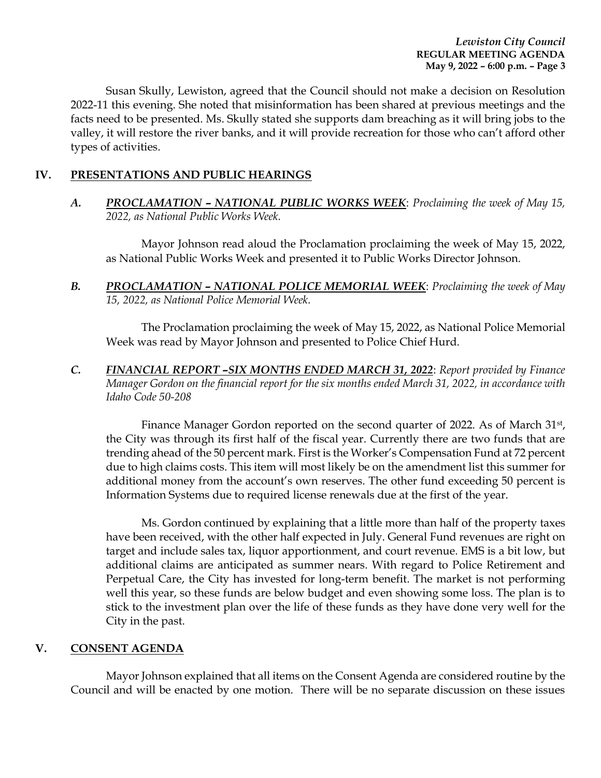Susan Skully, Lewiston, agreed that the Council should not make a decision on Resolution 2022-11 this evening. She noted that misinformation has been shared at previous meetings and the facts need to be presented. Ms. Skully stated she supports dam breaching as it will bring jobs to the valley, it will restore the river banks, and it will provide recreation for those who can't afford other types of activities.

## **IV. PRESENTATIONS AND PUBLIC HEARINGS**

*A. PROCLAMATION – NATIONAL PUBLIC WORKS WEEK*: *Proclaiming the week of May 15, 2022, as National Public Works Week.* 

Mayor Johnson read aloud the Proclamation proclaiming the week of May 15, 2022, as National Public Works Week and presented it to Public Works Director Johnson.

**B.** *PROCLAMATION – NATIONAL POLICE MEMORIAL WEEK: Proclaiming the week of May 15, 2022, as National Police Memorial Week.* 

The Proclamation proclaiming the week of May 15, 2022, as National Police Memorial Week was read by Mayor Johnson and presented to Police Chief Hurd.

*C. FINANCIAL REPORT –SIX MONTHS ENDED MARCH 31, 2022*: *Report provided by Finance Manager Gordon on the financial report for the six months ended March 31, 2022, in accordance with Idaho Code 50-208*

Finance Manager Gordon reported on the second quarter of 2022. As of March 31<sup>st</sup>, the City was through its first half of the fiscal year. Currently there are two funds that are trending ahead of the 50 percent mark. First is the Worker's Compensation Fund at 72 percent due to high claims costs. This item will most likely be on the amendment list this summer for additional money from the account's own reserves. The other fund exceeding 50 percent is Information Systems due to required license renewals due at the first of the year.

Ms. Gordon continued by explaining that a little more than half of the property taxes have been received, with the other half expected in July. General Fund revenues are right on target and include sales tax, liquor apportionment, and court revenue. EMS is a bit low, but additional claims are anticipated as summer nears. With regard to Police Retirement and Perpetual Care, the City has invested for long-term benefit. The market is not performing well this year, so these funds are below budget and even showing some loss. The plan is to stick to the investment plan over the life of these funds as they have done very well for the City in the past.

#### **V. CONSENT AGENDA**

Mayor Johnson explained that all items on the Consent Agenda are considered routine by the Council and will be enacted by one motion. There will be no separate discussion on these issues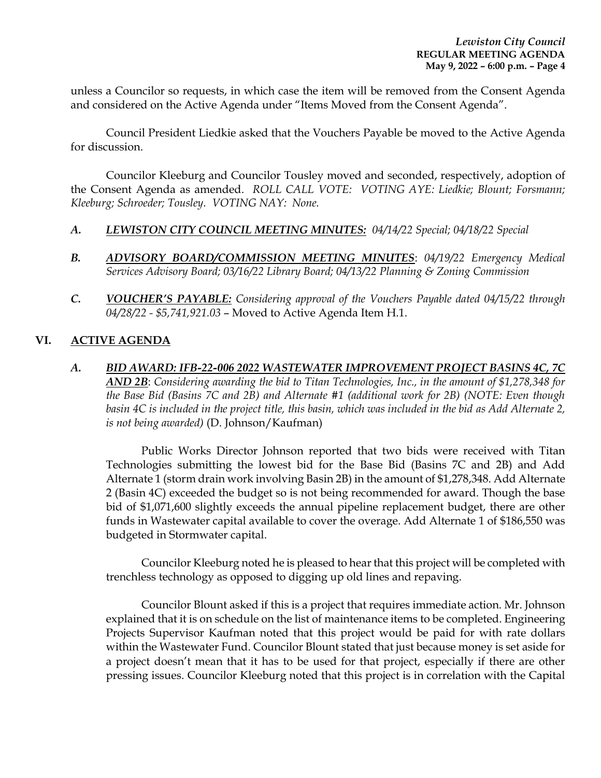unless a Councilor so requests, in which case the item will be removed from the Consent Agenda and considered on the Active Agenda under "Items Moved from the Consent Agenda".

Council President Liedkie asked that the Vouchers Payable be moved to the Active Agenda for discussion.

Councilor Kleeburg and Councilor Tousley moved and seconded, respectively, adoption of the Consent Agenda as amended. *ROLL CALL VOTE: VOTING AYE: Liedkie; Blount; Forsmann; Kleeburg; Schroeder; Tousley. VOTING NAY: None.* 

- *A. LEWISTON CITY COUNCIL MEETING MINUTES: 04/14/22 Special; 04/18/22 Special*
- *B. ADVISORY BOARD/COMMISSION MEETING MINUTES*: *04/19/22 Emergency Medical Services Advisory Board; 03/16/22 Library Board; 04/13/22 Planning & Zoning Commission*
- *C. VOUCHER'S PAYABLE: Considering approval of the Vouchers Payable dated 04/15/22 through 04/28/22 - \$5,741,921.03* – Moved to Active Agenda Item H.1.

## **VI. ACTIVE AGENDA**

*A. BID AWARD: IFB-22-006 2022 WASTEWATER IMPROVEMENT PROJECT BASINS 4C, 7C AND 2B*: *Considering awarding the bid to Titan Technologies, Inc., in the amount of \$1,278,348 for the Base Bid (Basins 7C and 2B) and Alternate #1 (additional work for 2B) (NOTE: Even though basin 4C is included in the project title, this basin, which was included in the bid as Add Alternate 2, is not being awarded)* (D. Johnson/Kaufman)

Public Works Director Johnson reported that two bids were received with Titan Technologies submitting the lowest bid for the Base Bid (Basins 7C and 2B) and Add Alternate 1 (storm drain work involving Basin 2B) in the amount of \$1,278,348. Add Alternate 2 (Basin 4C) exceeded the budget so is not being recommended for award. Though the base bid of \$1,071,600 slightly exceeds the annual pipeline replacement budget, there are other funds in Wastewater capital available to cover the overage. Add Alternate 1 of \$186,550 was budgeted in Stormwater capital.

Councilor Kleeburg noted he is pleased to hear that this project will be completed with trenchless technology as opposed to digging up old lines and repaving.

Councilor Blount asked if this is a project that requires immediate action. Mr. Johnson explained that it is on schedule on the list of maintenance items to be completed. Engineering Projects Supervisor Kaufman noted that this project would be paid for with rate dollars within the Wastewater Fund. Councilor Blount stated that just because money is set aside for a project doesn't mean that it has to be used for that project, especially if there are other pressing issues. Councilor Kleeburg noted that this project is in correlation with the Capital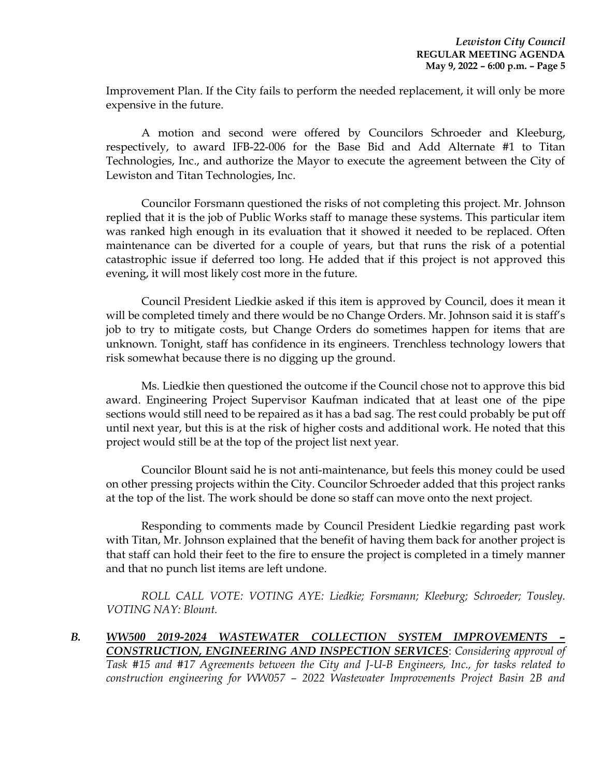Improvement Plan. If the City fails to perform the needed replacement, it will only be more expensive in the future.

A motion and second were offered by Councilors Schroeder and Kleeburg, respectively, to award IFB-22-006 for the Base Bid and Add Alternate #1 to Titan Technologies, Inc., and authorize the Mayor to execute the agreement between the City of Lewiston and Titan Technologies, Inc.

Councilor Forsmann questioned the risks of not completing this project. Mr. Johnson replied that it is the job of Public Works staff to manage these systems. This particular item was ranked high enough in its evaluation that it showed it needed to be replaced. Often maintenance can be diverted for a couple of years, but that runs the risk of a potential catastrophic issue if deferred too long. He added that if this project is not approved this evening, it will most likely cost more in the future.

Council President Liedkie asked if this item is approved by Council, does it mean it will be completed timely and there would be no Change Orders. Mr. Johnson said it is staff's job to try to mitigate costs, but Change Orders do sometimes happen for items that are unknown. Tonight, staff has confidence in its engineers. Trenchless technology lowers that risk somewhat because there is no digging up the ground.

Ms. Liedkie then questioned the outcome if the Council chose not to approve this bid award. Engineering Project Supervisor Kaufman indicated that at least one of the pipe sections would still need to be repaired as it has a bad sag. The rest could probably be put off until next year, but this is at the risk of higher costs and additional work. He noted that this project would still be at the top of the project list next year.

Councilor Blount said he is not anti-maintenance, but feels this money could be used on other pressing projects within the City. Councilor Schroeder added that this project ranks at the top of the list. The work should be done so staff can move onto the next project.

Responding to comments made by Council President Liedkie regarding past work with Titan, Mr. Johnson explained that the benefit of having them back for another project is that staff can hold their feet to the fire to ensure the project is completed in a timely manner and that no punch list items are left undone.

*ROLL CALL VOTE: VOTING AYE: Liedkie; Forsmann; Kleeburg; Schroeder; Tousley. VOTING NAY: Blount.* 

*B. WW500 2019-2024 WASTEWATER COLLECTION SYSTEM IMPROVEMENTS – CONSTRUCTION, ENGINEERING AND INSPECTION SERVICES*: *Considering approval of Task #15 and #17 Agreements between the City and J-U-B Engineers, Inc., for tasks related to construction engineering for WW057 – 2022 Wastewater Improvements Project Basin 2B and*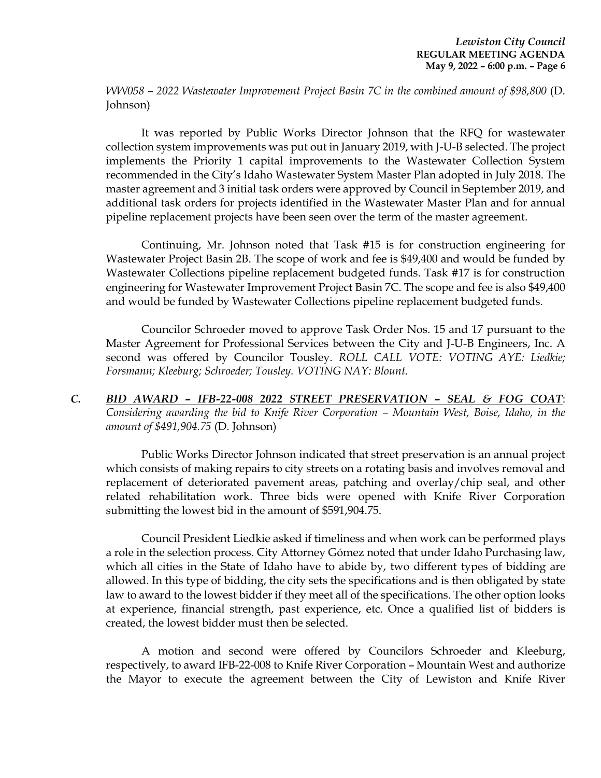*WW058 – 2022 Wastewater Improvement Project Basin 7C in the combined amount of \$98,800* (D. Johnson)

It was reported by Public Works Director Johnson that the RFQ for wastewater collection system improvements was put out in January 2019, with J-U-B selected. The project implements the Priority 1 capital improvements to the Wastewater Collection System recommended in the City's Idaho Wastewater System Master Plan adopted in July 2018. The master agreement and 3 initial task orders were approved by Council in September 2019, and additional task orders for projects identified in the Wastewater Master Plan and for annual pipeline replacement projects have been seen over the term of the master agreement.

Continuing, Mr. Johnson noted that Task #15 is for construction engineering for Wastewater Project Basin 2B. The scope of work and fee is \$49,400 and would be funded by Wastewater Collections pipeline replacement budgeted funds. Task #17 is for construction engineering for Wastewater Improvement Project Basin 7C. The scope and fee is also \$49,400 and would be funded by Wastewater Collections pipeline replacement budgeted funds.

Councilor Schroeder moved to approve Task Order Nos. 15 and 17 pursuant to the Master Agreement for Professional Services between the City and J-U-B Engineers, Inc. A second was offered by Councilor Tousley. *ROLL CALL VOTE: VOTING AYE: Liedkie; Forsmann; Kleeburg; Schroeder; Tousley. VOTING NAY: Blount.* 

*C. BID AWARD – IFB-22-008 2022 STREET PRESERVATION – SEAL & FOG COAT*: *Considering awarding the bid to Knife River Corporation – Mountain West, Boise, Idaho, in the amount of \$491,904.75* (D. Johnson)

Public Works Director Johnson indicated that street preservation is an annual project which consists of making repairs to city streets on a rotating basis and involves removal and replacement of deteriorated pavement areas, patching and overlay/chip seal, and other related rehabilitation work. Three bids were opened with Knife River Corporation submitting the lowest bid in the amount of \$591,904.75.

Council President Liedkie asked if timeliness and when work can be performed plays a role in the selection process. City Attorney Gómez noted that under Idaho Purchasing law, which all cities in the State of Idaho have to abide by, two different types of bidding are allowed. In this type of bidding, the city sets the specifications and is then obligated by state law to award to the lowest bidder if they meet all of the specifications. The other option looks at experience, financial strength, past experience, etc. Once a qualified list of bidders is created, the lowest bidder must then be selected.

A motion and second were offered by Councilors Schroeder and Kleeburg, respectively, to award IFB-22-008 to Knife River Corporation – Mountain West and authorize the Mayor to execute the agreement between the City of Lewiston and Knife River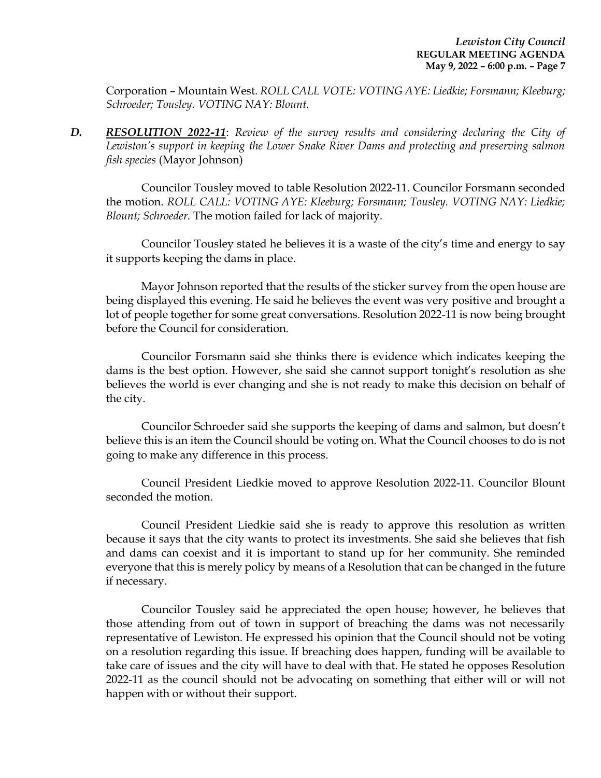Corporation – Mountain West. *ROLL CALL VOTE: VOTING AYE: Liedkie; Forsmann; Kleeburg; Schroeder; Tousley. VOTING NAY: Blount.* 

*D. RESOLUTION 2022-11*: *Review of the survey results and considering declaring the City of Lewiston's support in keeping the Lower Snake River Dams and protecting and preserving salmon fish species* (Mayor Johnson)

Councilor Tousley moved to table Resolution 2022-11. Councilor Forsmann seconded the motion. *ROLL CALL: VOTING AYE: Kleeburg; Forsmann; Tousley. VOTING NAY: Liedkie; Blount; Schroeder.* The motion failed for lack of majority.

Councilor Tousley stated he believes it is a waste of the city's time and energy to say it supports keeping the dams in place.

Mayor Johnson reported that the results of the sticker survey from the open house are being displayed this evening. He said he believes the event was very positive and brought a lot of people together for some great conversations. Resolution 2022-11 is now being brought before the Council for consideration.

Councilor Forsmann said she thinks there is evidence which indicates keeping the dams is the best option. However, she said she cannot support tonight's resolution as she believes the world is ever changing and she is not ready to make this decision on behalf of the city.

Councilor Schroeder said she supports the keeping of dams and salmon, but doesn't believe this is an item the Council should be voting on. What the Council chooses to do is not going to make any difference in this process.

Council President Liedkie moved to approve Resolution 2022-11. Councilor Blount seconded the motion.

Council President Liedkie said she is ready to approve this resolution as written because it says that the city wants to protect its investments. She said she believes that fish and dams can coexist and it is important to stand up for her community. She reminded everyone that this is merely policy by means of a Resolution that can be changed in the future if necessary.

Councilor Tousley said he appreciated the open house; however, he believes that those attending from out of town in support of breaching the dams was not necessarily representative of Lewiston. He expressed his opinion that the Council should not be voting on a resolution regarding this issue. If breaching does happen, funding will be available to take care of issues and the city will have to deal with that. He stated he opposes Resolution 2022-11 as the council should not be advocating on something that either will or will not happen with or without their support.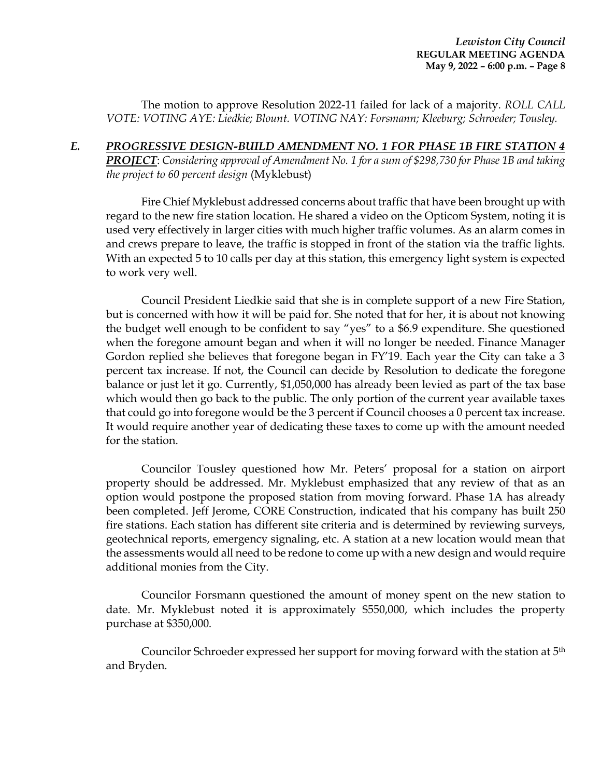The motion to approve Resolution 2022-11 failed for lack of a majority. *ROLL CALL VOTE: VOTING AYE: Liedkie; Blount. VOTING NAY: Forsmann; Kleeburg; Schroeder; Tousley.*

*E. PROGRESSIVE DESIGN-BUILD AMENDMENT NO. 1 FOR PHASE 1B FIRE STATION 4 PROJECT*: *Considering approval of Amendment No. 1 for a sum of \$298,730 for Phase 1B and taking the project to 60 percent design* (Myklebust)

Fire Chief Myklebust addressed concerns about traffic that have been brought up with regard to the new fire station location. He shared a video on the Opticom System, noting it is used very effectively in larger cities with much higher traffic volumes. As an alarm comes in and crews prepare to leave, the traffic is stopped in front of the station via the traffic lights. With an expected 5 to 10 calls per day at this station, this emergency light system is expected to work very well.

Council President Liedkie said that she is in complete support of a new Fire Station, but is concerned with how it will be paid for. She noted that for her, it is about not knowing the budget well enough to be confident to say "yes" to a \$6.9 expenditure. She questioned when the foregone amount began and when it will no longer be needed. Finance Manager Gordon replied she believes that foregone began in FY'19. Each year the City can take a 3 percent tax increase. If not, the Council can decide by Resolution to dedicate the foregone balance or just let it go. Currently, \$1,050,000 has already been levied as part of the tax base which would then go back to the public. The only portion of the current year available taxes that could go into foregone would be the 3 percent if Council chooses a 0 percent tax increase. It would require another year of dedicating these taxes to come up with the amount needed for the station.

Councilor Tousley questioned how Mr. Peters' proposal for a station on airport property should be addressed. Mr. Myklebust emphasized that any review of that as an option would postpone the proposed station from moving forward. Phase 1A has already been completed. Jeff Jerome, CORE Construction, indicated that his company has built 250 fire stations. Each station has different site criteria and is determined by reviewing surveys, geotechnical reports, emergency signaling, etc. A station at a new location would mean that the assessments would all need to be redone to come up with a new design and would require additional monies from the City.

Councilor Forsmann questioned the amount of money spent on the new station to date. Mr. Myklebust noted it is approximately \$550,000, which includes the property purchase at \$350,000.

Councilor Schroeder expressed her support for moving forward with the station at 5th and Bryden.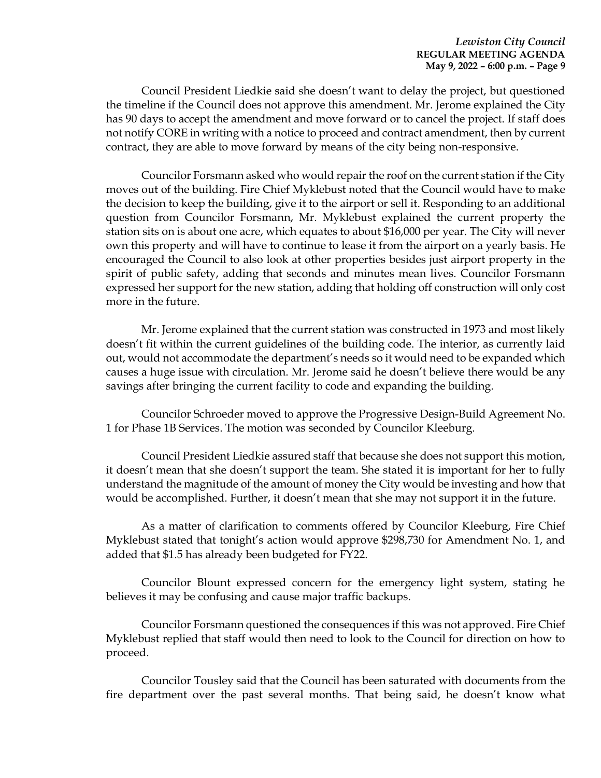Council President Liedkie said she doesn't want to delay the project, but questioned the timeline if the Council does not approve this amendment. Mr. Jerome explained the City has 90 days to accept the amendment and move forward or to cancel the project. If staff does not notify CORE in writing with a notice to proceed and contract amendment, then by current contract, they are able to move forward by means of the city being non-responsive.

Councilor Forsmann asked who would repair the roof on the current station if the City moves out of the building. Fire Chief Myklebust noted that the Council would have to make the decision to keep the building, give it to the airport or sell it. Responding to an additional question from Councilor Forsmann, Mr. Myklebust explained the current property the station sits on is about one acre, which equates to about \$16,000 per year. The City will never own this property and will have to continue to lease it from the airport on a yearly basis. He encouraged the Council to also look at other properties besides just airport property in the spirit of public safety, adding that seconds and minutes mean lives. Councilor Forsmann expressed her support for the new station, adding that holding off construction will only cost more in the future.

Mr. Jerome explained that the current station was constructed in 1973 and most likely doesn't fit within the current guidelines of the building code. The interior, as currently laid out, would not accommodate the department's needs so it would need to be expanded which causes a huge issue with circulation. Mr. Jerome said he doesn't believe there would be any savings after bringing the current facility to code and expanding the building.

Councilor Schroeder moved to approve the Progressive Design-Build Agreement No. 1 for Phase 1B Services. The motion was seconded by Councilor Kleeburg.

Council President Liedkie assured staff that because she does not support this motion, it doesn't mean that she doesn't support the team. She stated it is important for her to fully understand the magnitude of the amount of money the City would be investing and how that would be accomplished. Further, it doesn't mean that she may not support it in the future.

As a matter of clarification to comments offered by Councilor Kleeburg, Fire Chief Myklebust stated that tonight's action would approve \$298,730 for Amendment No. 1, and added that \$1.5 has already been budgeted for FY22.

Councilor Blount expressed concern for the emergency light system, stating he believes it may be confusing and cause major traffic backups.

Councilor Forsmann questioned the consequences if this was not approved. Fire Chief Myklebust replied that staff would then need to look to the Council for direction on how to proceed.

Councilor Tousley said that the Council has been saturated with documents from the fire department over the past several months. That being said, he doesn't know what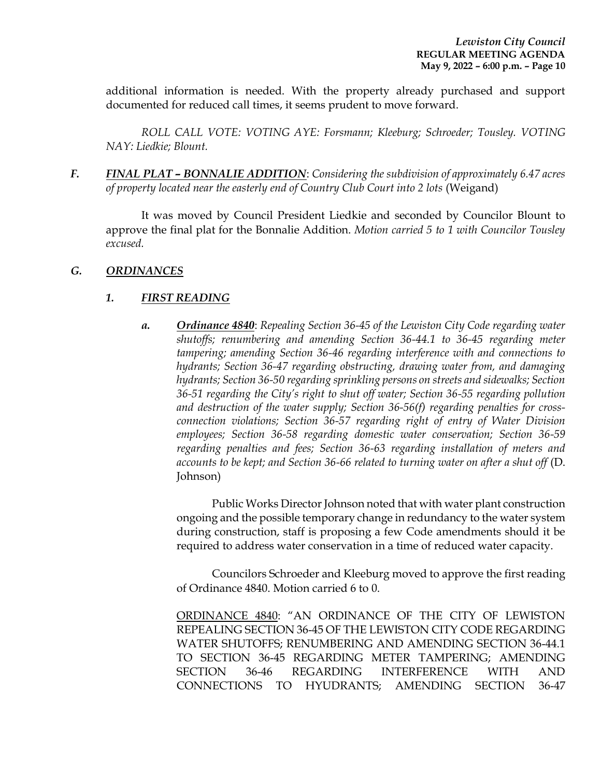additional information is needed. With the property already purchased and support documented for reduced call times, it seems prudent to move forward.

*ROLL CALL VOTE: VOTING AYE: Forsmann; Kleeburg; Schroeder; Tousley. VOTING NAY: Liedkie; Blount.* 

*F. FINAL PLAT – BONNALIE ADDITION*: *Considering the subdivision of approximately 6.47 acres of property located near the easterly end of Country Club Court into 2 lots* (Weigand)

It was moved by Council President Liedkie and seconded by Councilor Blount to approve the final plat for the Bonnalie Addition. *Motion carried 5 to 1 with Councilor Tousley excused.* 

## *G. ORDINANCES*

## *1. FIRST READING*

*a. Ordinance 4840*: *Repealing Section 36-45 of the Lewiston City Code regarding water shutoffs; renumbering and amending Section 36-44.1 to 36-45 regarding meter tampering; amending Section 36-46 regarding interference with and connections to hydrants; Section 36-47 regarding obstructing, drawing water from, and damaging hydrants; Section 36-50 regarding sprinkling persons on streets and sidewalks; Section 36-51 regarding the City's right to shut off water; Section 36-55 regarding pollution and destruction of the water supply; Section 36-56(f) regarding penalties for crossconnection violations; Section 36-57 regarding right of entry of Water Division employees; Section 36-58 regarding domestic water conservation; Section 36-59 regarding penalties and fees; Section 36-63 regarding installation of meters and accounts to be kept; and Section 36-66 related to turning water on after a shut off* (D. Johnson)

Public Works Director Johnson noted that with water plant construction ongoing and the possible temporary change in redundancy to the water system during construction, staff is proposing a few Code amendments should it be required to address water conservation in a time of reduced water capacity.

Councilors Schroeder and Kleeburg moved to approve the first reading of Ordinance 4840. Motion carried 6 to 0.

ORDINANCE 4840: "AN ORDINANCE OF THE CITY OF LEWISTON REPEALING SECTION 36-45 OF THE LEWISTON CITY CODE REGARDING WATER SHUTOFFS; RENUMBERING AND AMENDING SECTION 36-44.1 TO SECTION 36-45 REGARDING METER TAMPERING; AMENDING SECTION 36-46 REGARDING INTERFERENCE WITH AND CONNECTIONS TO HYUDRANTS; AMENDING SECTION 36-47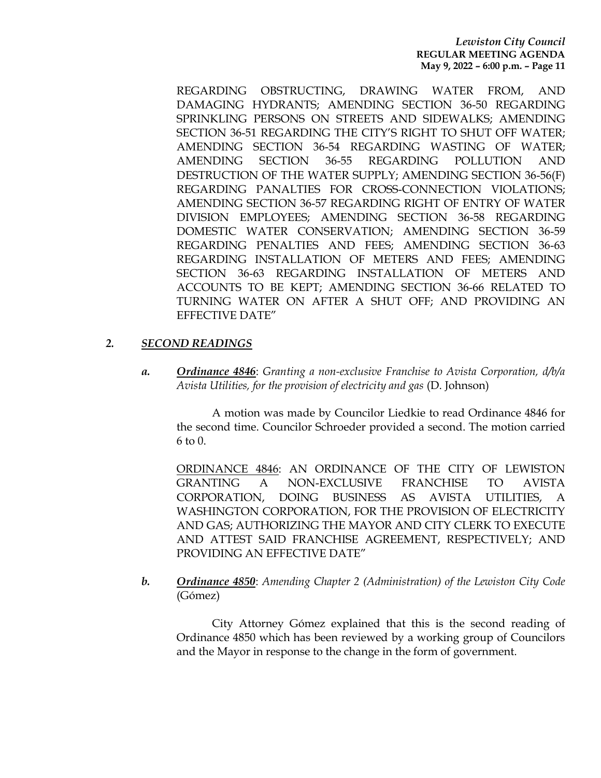#### *Lewiston City Council* **REGULAR MEETING AGENDA May 9, 2022 – 6:00 p.m. – Page 11**

REGARDING OBSTRUCTING, DRAWING WATER FROM, AND DAMAGING HYDRANTS; AMENDING SECTION 36-50 REGARDING SPRINKLING PERSONS ON STREETS AND SIDEWALKS; AMENDING SECTION 36-51 REGARDING THE CITY'S RIGHT TO SHUT OFF WATER; AMENDING SECTION 36-54 REGARDING WASTING OF WATER; AMENDING SECTION 36-55 REGARDING POLLUTION AND DESTRUCTION OF THE WATER SUPPLY; AMENDING SECTION 36-56(F) REGARDING PANALTIES FOR CROSS-CONNECTION VIOLATIONS; AMENDING SECTION 36-57 REGARDING RIGHT OF ENTRY OF WATER DIVISION EMPLOYEES; AMENDING SECTION 36-58 REGARDING DOMESTIC WATER CONSERVATION; AMENDING SECTION 36-59 REGARDING PENALTIES AND FEES; AMENDING SECTION 36-63 REGARDING INSTALLATION OF METERS AND FEES; AMENDING SECTION 36-63 REGARDING INSTALLATION OF METERS AND ACCOUNTS TO BE KEPT; AMENDING SECTION 36-66 RELATED TO TURNING WATER ON AFTER A SHUT OFF; AND PROVIDING AN EFFECTIVE DATE"

#### *2. SECOND READINGS*

*a. Ordinance 4846*: *Granting a non-exclusive Franchise to Avista Corporation, d/b/a Avista Utilities, for the provision of electricity and gas* (D. Johnson)

A motion was made by Councilor Liedkie to read Ordinance 4846 for the second time. Councilor Schroeder provided a second. The motion carried 6 to 0.

ORDINANCE 4846: AN ORDINANCE OF THE CITY OF LEWISTON GRANTING A NON-EXCLUSIVE FRANCHISE TO AVISTA CORPORATION, DOING BUSINESS AS AVISTA UTILITIES, A WASHINGTON CORPORATION, FOR THE PROVISION OF ELECTRICITY AND GAS; AUTHORIZING THE MAYOR AND CITY CLERK TO EXECUTE AND ATTEST SAID FRANCHISE AGREEMENT, RESPECTIVELY; AND PROVIDING AN EFFECTIVE DATE"

*b. Ordinance 4850*: *Amending Chapter 2 (Administration) of the Lewiston City Code* (Gómez)

City Attorney Gómez explained that this is the second reading of Ordinance 4850 which has been reviewed by a working group of Councilors and the Mayor in response to the change in the form of government.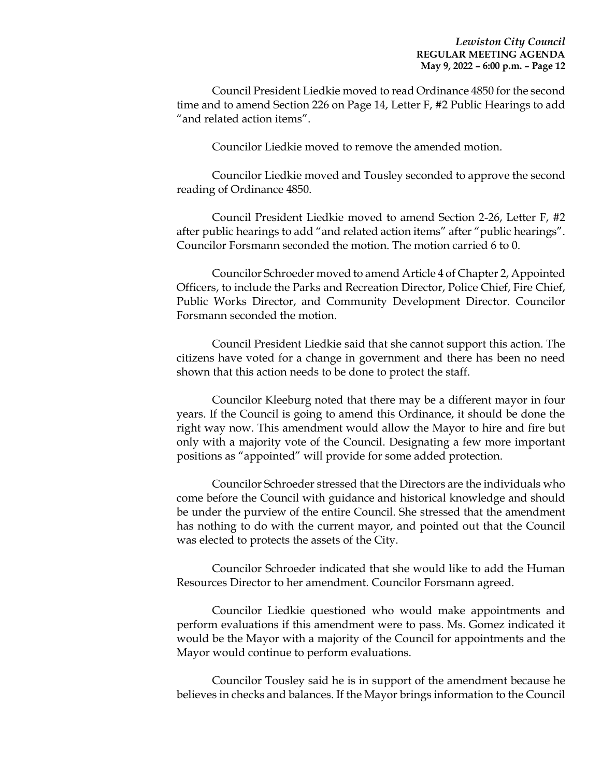Council President Liedkie moved to read Ordinance 4850 for the second time and to amend Section 226 on Page 14, Letter F, #2 Public Hearings to add "and related action items".

Councilor Liedkie moved to remove the amended motion.

Councilor Liedkie moved and Tousley seconded to approve the second reading of Ordinance 4850.

Council President Liedkie moved to amend Section 2-26, Letter F, #2 after public hearings to add "and related action items" after "public hearings". Councilor Forsmann seconded the motion. The motion carried 6 to 0.

Councilor Schroeder moved to amend Article 4 of Chapter 2, Appointed Officers, to include the Parks and Recreation Director, Police Chief, Fire Chief, Public Works Director, and Community Development Director. Councilor Forsmann seconded the motion.

Council President Liedkie said that she cannot support this action. The citizens have voted for a change in government and there has been no need shown that this action needs to be done to protect the staff.

Councilor Kleeburg noted that there may be a different mayor in four years. If the Council is going to amend this Ordinance, it should be done the right way now. This amendment would allow the Mayor to hire and fire but only with a majority vote of the Council. Designating a few more important positions as "appointed" will provide for some added protection.

Councilor Schroeder stressed that the Directors are the individuals who come before the Council with guidance and historical knowledge and should be under the purview of the entire Council. She stressed that the amendment has nothing to do with the current mayor, and pointed out that the Council was elected to protects the assets of the City.

Councilor Schroeder indicated that she would like to add the Human Resources Director to her amendment. Councilor Forsmann agreed.

Councilor Liedkie questioned who would make appointments and perform evaluations if this amendment were to pass. Ms. Gomez indicated it would be the Mayor with a majority of the Council for appointments and the Mayor would continue to perform evaluations.

Councilor Tousley said he is in support of the amendment because he believes in checks and balances. If the Mayor brings information to the Council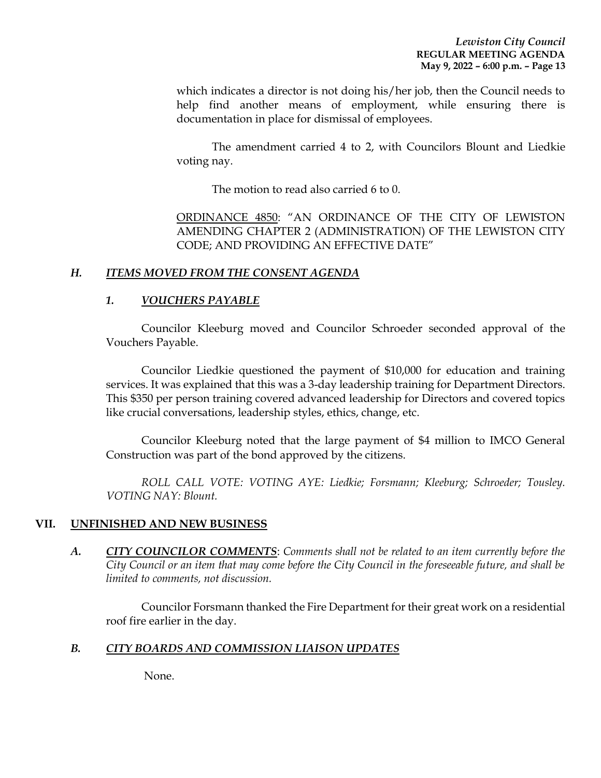which indicates a director is not doing his/her job, then the Council needs to help find another means of employment, while ensuring there is documentation in place for dismissal of employees.

The amendment carried 4 to 2, with Councilors Blount and Liedkie voting nay.

The motion to read also carried 6 to 0.

ORDINANCE 4850: "AN ORDINANCE OF THE CITY OF LEWISTON AMENDING CHAPTER 2 (ADMINISTRATION) OF THE LEWISTON CITY CODE; AND PROVIDING AN EFFECTIVE DATE"

## *H. ITEMS MOVED FROM THE CONSENT AGENDA*

## *1. VOUCHERS PAYABLE*

Councilor Kleeburg moved and Councilor Schroeder seconded approval of the Vouchers Payable.

Councilor Liedkie questioned the payment of \$10,000 for education and training services. It was explained that this was a 3-day leadership training for Department Directors. This \$350 per person training covered advanced leadership for Directors and covered topics like crucial conversations, leadership styles, ethics, change, etc.

Councilor Kleeburg noted that the large payment of \$4 million to IMCO General Construction was part of the bond approved by the citizens.

*ROLL CALL VOTE: VOTING AYE: Liedkie; Forsmann; Kleeburg; Schroeder; Tousley. VOTING NAY: Blount.* 

#### **VII. UNFINISHED AND NEW BUSINESS**

*A. CITY COUNCILOR COMMENTS*: *Comments shall not be related to an item currently before the City Council or an item that may come before the City Council in the foreseeable future, and shall be limited to comments, not discussion.*

Councilor Forsmann thanked the Fire Department for their great work on a residential roof fire earlier in the day.

#### *B. CITY BOARDS AND COMMISSION LIAISON UPDATES*

None.